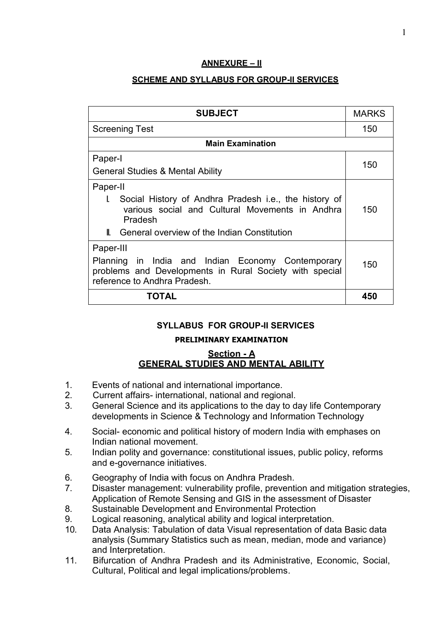## **ANNEXURE – II**

## **SCHEME AND SYLLABUS FOR GROUP-II SERVICES**

| <b>SUBJECT</b>                                                                                                                                                                                 | <b>MARKS</b> |
|------------------------------------------------------------------------------------------------------------------------------------------------------------------------------------------------|--------------|
| <b>Screening Test</b>                                                                                                                                                                          | 150          |
| <b>Main Examination</b>                                                                                                                                                                        |              |
| Paper-I<br><b>General Studies &amp; Mental Ability</b>                                                                                                                                         | 150          |
| Paper-II<br>Social History of Andhra Pradesh i.e., the history of<br>L<br>various social and Cultural Movements in Andhra<br>Pradesh<br><b>II.</b> General overview of the Indian Constitution | 150          |
| Paper-III<br>Planning in India and Indian Economy Contemporary<br>problems and Developments in Rural Society with special<br>reference to Andhra Pradesh.                                      | 150          |
| TOTAL                                                                                                                                                                                          | 450          |

## **SYLLABUS FOR GROUP-II SERVICES**

### **PRELIMINARY EXAMINATION**

## **Section - A GENERAL STUDIES AND MENTAL ABILITY**

- 1. Events of national and international importance.
- 2. Current affairs- international, national and regional.
- 3. General Science and its applications to the day to day life Contemporary developments in Science & Technology and Information Technology
- 4. Social- economic and political history of modern India with emphases on Indian national movement.
- 5. Indian polity and governance: constitutional issues, public policy, reforms and e-governance initiatives.
- 6. Geography of India with focus on Andhra Pradesh.
- 7. Disaster management: vulnerability profile, prevention and mitigation strategies, Application of Remote Sensing and GIS in the assessment of Disaster
- 8. Sustainable Development and Environmental Protection
- 9. Logical reasoning, analytical ability and logical interpretation.
- 10. Data Analysis: Tabulation of data Visual representation of data Basic data analysis (Summary Statistics such as mean, median, mode and variance) and Interpretation.
- 11. Bifurcation of Andhra Pradesh and its Administrative, Economic, Social, Cultural, Political and legal implications/problems.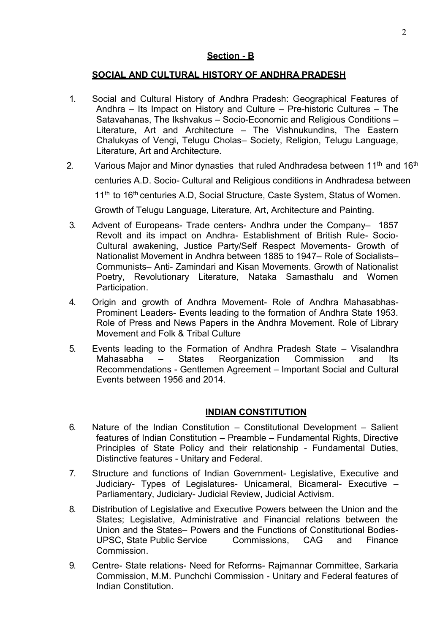# **Section - B**

# **SOCIAL AND CULTURAL HISTORY OF ANDHRA PRADESH**

- 1. Social and Cultural History of Andhra Pradesh: Geographical Features of Andhra – Its Impact on History and Culture – Pre-historic Cultures – The Satavahanas, The Ikshvakus – Socio-Economic and Religious Conditions – Literature, Art and Architecture – The Vishnukundins, The Eastern Chalukyas of Vengi, Telugu Cholas– Society, Religion, Telugu Language, Literature, Art and Architecture.
- 2. Various Major and Minor dynasties that ruled Andhradesa between  $11<sup>th</sup>$  and  $16<sup>th</sup>$  centuries A.D. Socio- Cultural and Religious conditions in Andhradesa between 11<sup>th</sup> to 16<sup>th</sup> centuries A.D. Social Structure, Caste System, Status of Women. Growth of Telugu Language, Literature, Art, Architecture and Painting.
- 3. Advent of Europeans- Trade centers- Andhra under the Company– 1857 Revolt and its impact on Andhra- Establishment of British Rule- Socio-Cultural awakening, Justice Party/Self Respect Movements- Growth of Nationalist Movement in Andhra between 1885 to 1947– Role of Socialists– Communists– Anti- Zamindari and Kisan Movements. Growth of Nationalist Poetry, Revolutionary Literature, Nataka Samasthalu and Women Participation.
- 4. Origin and growth of Andhra Movement- Role of Andhra Mahasabhas-Prominent Leaders- Events leading to the formation of Andhra State 1953. Role of Press and News Papers in the Andhra Movement. Role of Library Movement and Folk & Tribal Culture
- 5. Events leading to the Formation of Andhra Pradesh State Visalandhra<br>Mahasabha States Reorganization Commission and Its Mahasabha – States Reorganization Commission and Its Recommendations - Gentlemen Agreement – Important Social and Cultural Events between 1956 and 2014.

# **INDIAN CONSTITUTION**

- 6. Nature of the Indian Constitution Constitutional Development Salient features of Indian Constitution – Preamble – Fundamental Rights, Directive Principles of State Policy and their relationship - Fundamental Duties, Distinctive features - Unitary and Federal.
- 7. Structure and functions of Indian Government- Legislative, Executive and Judiciary- Types of Legislatures- Unicameral, Bicameral- Executive – Parliamentary, Judiciary- Judicial Review, Judicial Activism.
- 8. Distribution of Legislative and Executive Powers between the Union and the States; Legislative, Administrative and Financial relations between the Union and the States– Powers and the Functions of Constitutional Bodies-UPSC, State Public Service Commissions, CAG and Finance Commission.
- 9. Centre- State relations- Need for Reforms- Rajmannar Committee, Sarkaria Commission, M.M. Punchchi Commission - Unitary and Federal features of Indian Constitution.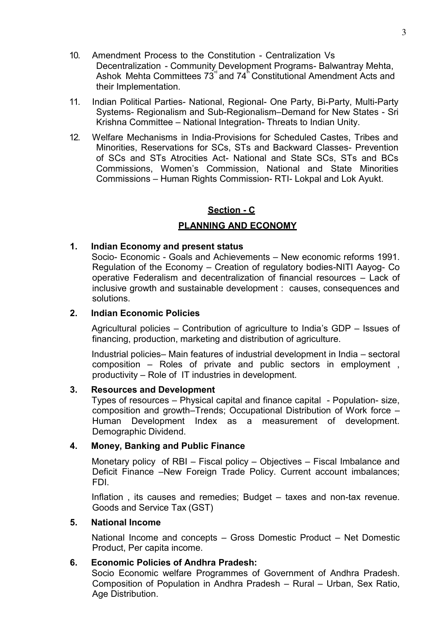- 10. Amendment Process to the Constitution Centralization Vs Decentralization - Community Development Programs- Balwantray Mehta, Ashok Mehta Committees  $73^{\degree}$  and  $74^{\degree}$  Constitutional Amendment Acts and their Implementation.
- 11. Indian Political Parties- National, Regional- One Party, Bi-Party, Multi-Party Systems- Regionalism and Sub-Regionalism–Demand for New States - Sri Krishna Committee – National Integration- Threats to Indian Unity.
- 12. Welfare Mechanisms in India-Provisions for Scheduled Castes, Tribes and Minorities, Reservations for SCs, STs and Backward Classes- Prevention of SCs and STs Atrocities Act- National and State SCs, STs and BCs Commissions, Women's Commission, National and State Minorities Commissions – Human Rights Commission- RTI- Lokpal and Lok Ayukt.

# **Section - C**

## **PLANNING AND ECONOMY**

### **1. Indian Economy and present status**

Socio- Economic - Goals and Achievements – New economic reforms 1991. Regulation of the Economy – Creation of regulatory bodies-NITI Aayog- Co operative Federalism and decentralization of financial resources – Lack of inclusive growth and sustainable development : causes, consequences and solutions.

### **2. Indian Economic Policies**

Agricultural policies – Contribution of agriculture to India's GDP – Issues of financing, production, marketing and distribution of agriculture.

Industrial policies– Main features of industrial development in India – sectoral composition – Roles of private and public sectors in employment , productivity – Role of IT industries in development.

### **3. Resources and Development**

Types of resources – Physical capital and finance capital - Population- size, composition and growth–Trends; Occupational Distribution of Work force – Human Development Index as a measurement of development. Demographic Dividend.

### **4. Money, Banking and Public Finance**

Monetary policy of RBI – Fiscal policy – Objectives – Fiscal Imbalance and Deficit Finance –New Foreign Trade Policy. Current account imbalances; FDI.

Inflation , its causes and remedies; Budget – taxes and non-tax revenue. Goods and Service Tax (GST)

### **5. National Income**

National Income and concepts – Gross Domestic Product – Net Domestic Product, Per capita income.

### **6. Economic Policies of Andhra Pradesh:**

Socio Economic welfare Programmes of Government of Andhra Pradesh. Composition of Population in Andhra Pradesh – Rural – Urban, Sex Ratio, Age Distribution.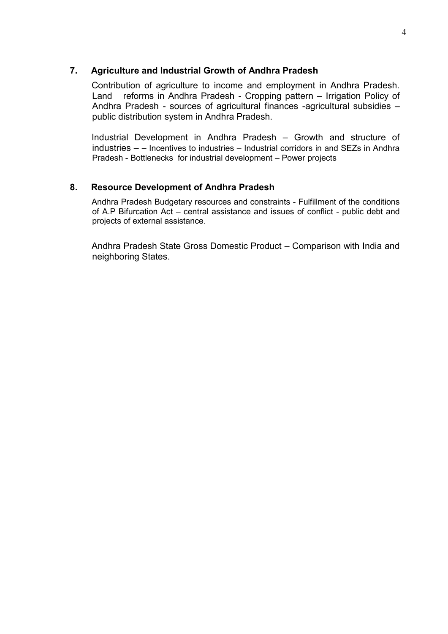### **7. Agriculture and Industrial Growth of Andhra Pradesh**

Contribution of agriculture to income and employment in Andhra Pradesh. Land reforms in Andhra Pradesh - Cropping pattern – Irrigation Policy of Andhra Pradesh - sources of agricultural finances -agricultural subsidies – public distribution system in Andhra Pradesh.

Industrial Development in Andhra Pradesh – Growth and structure of industries – **–** Incentives to industries – Industrial corridors in and SEZs in Andhra Pradesh - Bottlenecks for industrial development – Power projects

## **8. Resource Development of Andhra Pradesh**

Andhra Pradesh Budgetary resources and constraints - Fulfillment of the conditions of A.P Bifurcation Act – central assistance and issues of conflict - public debt and projects of external assistance.

Andhra Pradesh State Gross Domestic Product – Comparison with India and neighboring States.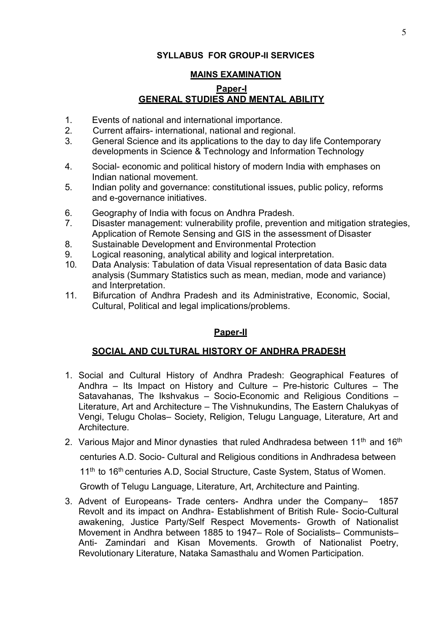# **SYLLABUS FOR GROUP-II SERVICES**

## **MAINS EXAMINATION**

# **Paper-I GENERAL STUDIES AND MENTAL ABILITY**

- 1. Events of national and international importance.<br>2. Current affairs-international, national and regior
- 2. Current affairs- international, national and regional.
- 3. General Science and its applications to the day to day life Contemporary developments in Science & Technology and Information Technology
- 4. Social- economic and political history of modern India with emphases on Indian national movement.
- 5. Indian polity and governance: constitutional issues, public policy, reforms and e-governance initiatives.
- 6. Geography of India with focus on Andhra Pradesh.
- 7. Disaster management: vulnerability profile, prevention and mitigation strategies, Application of Remote Sensing and GIS in the assessment of Disaster
- 8. Sustainable Development and Environmental Protection
- 9. Logical reasoning, analytical ability and logical interpretation.
- 10. Data Analysis: Tabulation of data Visual representation of data Basic data analysis (Summary Statistics such as mean, median, mode and variance) and Interpretation.
- 11. Bifurcation of Andhra Pradesh and its Administrative, Economic, Social, Cultural, Political and legal implications/problems.

## **Paper-II**

## **SOCIAL AND CULTURAL HISTORY OF ANDHRA PRADESH**

- 1. Social and Cultural History of Andhra Pradesh: Geographical Features of Andhra – Its Impact on History and Culture – Pre-historic Cultures – The Satavahanas, The Ikshvakus – Socio-Economic and Religious Conditions – Literature, Art and Architecture – The Vishnukundins, The Eastern Chalukyas of Vengi, Telugu Cholas– Society, Religion, Telugu Language, Literature, Art and Architecture.
- 2. Various Major and Minor dynasties that ruled Andhradesa between 11<sup>th</sup> and 16<sup>th</sup>

centuries A.D. Socio- Cultural and Religious conditions in Andhradesa between

11<sup>th</sup> to 16<sup>th</sup> centuries A.D, Social Structure, Caste System, Status of Women.

Growth of Telugu Language, Literature, Art, Architecture and Painting.

3. Advent of Europeans- Trade centers- Andhra under the Company– 1857 Revolt and its impact on Andhra- Establishment of British Rule- Socio-Cultural awakening, Justice Party/Self Respect Movements- Growth of Nationalist Movement in Andhra between 1885 to 1947– Role of Socialists– Communists– Anti- Zamindari and Kisan Movements. Growth of Nationalist Poetry, Revolutionary Literature, Nataka Samasthalu and Women Participation.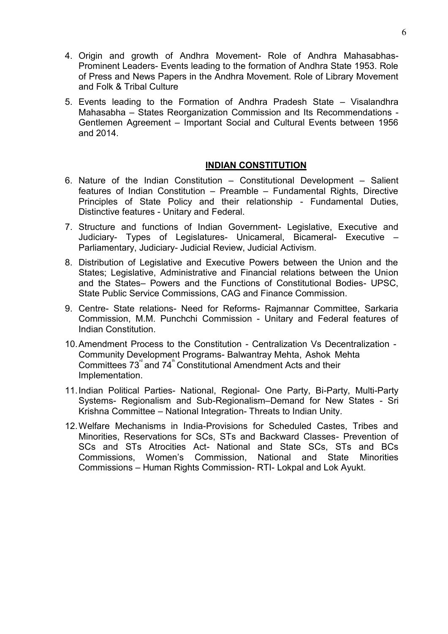- 4. Origin and growth of Andhra Movement- Role of Andhra Mahasabhas-Prominent Leaders- Events leading to the formation of Andhra State 1953. Role of Press and News Papers in the Andhra Movement. Role of Library Movement and Folk & Tribal Culture
- 5. Events leading to the Formation of Andhra Pradesh State Visalandhra Mahasabha – States Reorganization Commission and Its Recommendations - Gentlemen Agreement – Important Social and Cultural Events between 1956 and 2014.

## **INDIAN CONSTITUTION**

- 6. Nature of the Indian Constitution Constitutional Development Salient features of Indian Constitution – Preamble – Fundamental Rights, Directive Principles of State Policy and their relationship - Fundamental Duties, Distinctive features - Unitary and Federal.
- 7. Structure and functions of Indian Government- Legislative, Executive and Judiciary- Types of Legislatures- Unicameral, Bicameral- Executive – Parliamentary, Judiciary- Judicial Review, Judicial Activism.
- 8. Distribution of Legislative and Executive Powers between the Union and the States; Legislative, Administrative and Financial relations between the Union and the States– Powers and the Functions of Constitutional Bodies- UPSC, State Public Service Commissions, CAG and Finance Commission.
- 9. Centre- State relations- Need for Reforms- Rajmannar Committee, Sarkaria Commission, M.M. Punchchi Commission - Unitary and Federal features of Indian Constitution.
- 10. Amendment Process to the Constitution Centralization Vs Decentralization Community Development Programs- Balwantray Mehta, Ashok Mehta Committees  $73^{\degree}$  and  $74^{\degree}$  Constitutional Amendment Acts and their Implementation.
- 11. Indian Political Parties- National, Regional- One Party, Bi-Party, Multi-Party Systems- Regionalism and Sub-Regionalism–Demand for New States - Sri Krishna Committee – National Integration- Threats to Indian Unity.
- 12. Welfare Mechanisms in India-Provisions for Scheduled Castes, Tribes and Minorities, Reservations for SCs, STs and Backward Classes- Prevention of SCs and STs Atrocities Act- National and State SCs, STs and BCs Commissions, Women's Commission, National and State Minorities Commissions – Human Rights Commission- RTI- Lokpal and Lok Ayukt.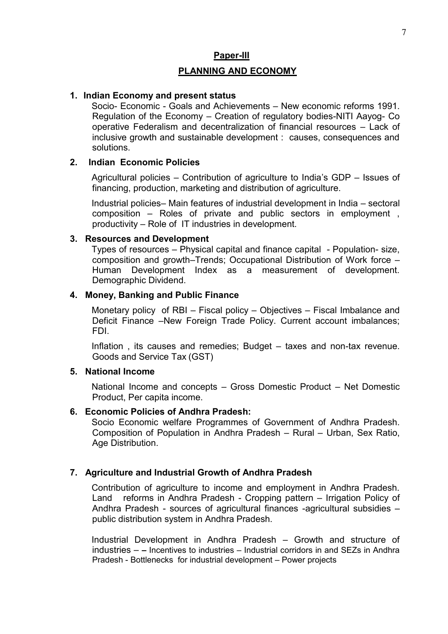### **Paper-III**

## **PLANNING AND ECONOMY**

### **1. Indian Economy and present status**

Socio- Economic - Goals and Achievements – New economic reforms 1991. Regulation of the Economy – Creation of regulatory bodies-NITI Aayog- Co operative Federalism and decentralization of financial resources – Lack of inclusive growth and sustainable development : causes, consequences and solutions.

## **2. Indian Economic Policies**

Agricultural policies – Contribution of agriculture to India's GDP – Issues of financing, production, marketing and distribution of agriculture.

Industrial policies– Main features of industrial development in India – sectoral composition – Roles of private and public sectors in employment , productivity – Role of IT industries in development.

### **3. Resources and Development**

Types of resources – Physical capital and finance capital - Population- size, composition and growth–Trends; Occupational Distribution of Work force – Human Development Index as a measurement of development. Demographic Dividend.

### **4. Money, Banking and Public Finance**

Monetary policy of RBI – Fiscal policy – Objectives – Fiscal Imbalance and Deficit Finance –New Foreign Trade Policy. Current account imbalances; FDI.

Inflation , its causes and remedies; Budget – taxes and non-tax revenue. Goods and Service Tax (GST)

### **5. National Income**

National Income and concepts – Gross Domestic Product – Net Domestic Product, Per capita income.

## **6. Economic Policies of Andhra Pradesh:**

Socio Economic welfare Programmes of Government of Andhra Pradesh. Composition of Population in Andhra Pradesh – Rural – Urban, Sex Ratio, Age Distribution.

## **7. Agriculture and Industrial Growth of Andhra Pradesh**

Contribution of agriculture to income and employment in Andhra Pradesh. Land reforms in Andhra Pradesh - Cropping pattern – Irrigation Policy of Andhra Pradesh - sources of agricultural finances -agricultural subsidies – public distribution system in Andhra Pradesh.

Industrial Development in Andhra Pradesh – Growth and structure of industries – **–** Incentives to industries – Industrial corridors in and SEZs in Andhra Pradesh - Bottlenecks for industrial development – Power projects